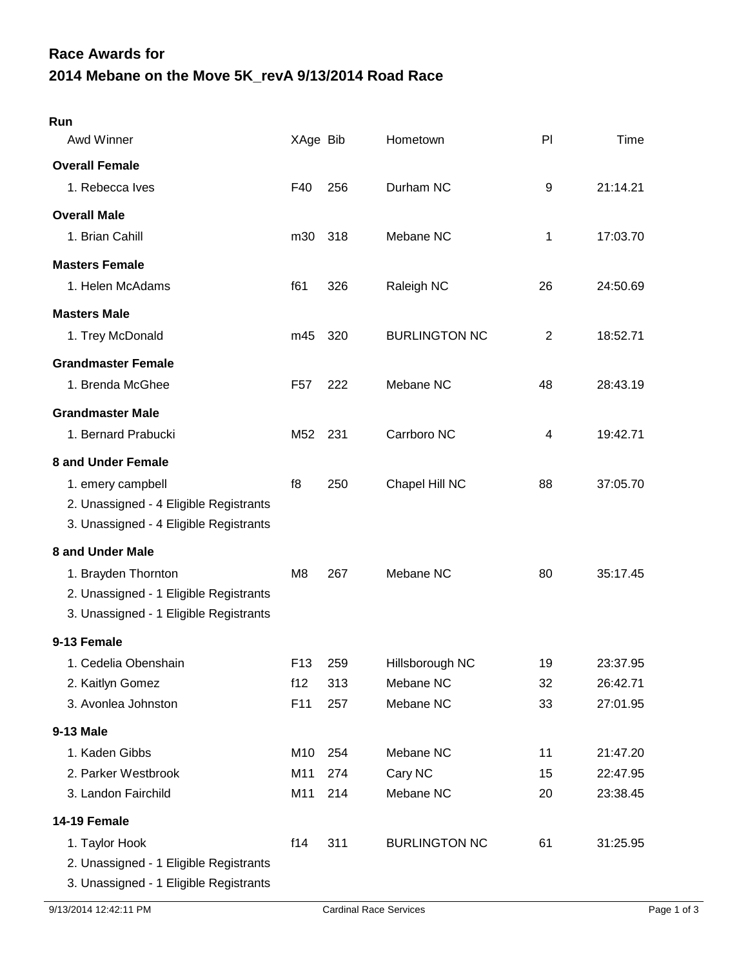## **2014 Mebane on the Move 5K\_revA 9/13/2014 Road Race Race Awards for**

| Run                                    |                 |       |                      |    |          |
|----------------------------------------|-----------------|-------|----------------------|----|----------|
| Awd Winner                             | XAge Bib        |       | Hometown             | PI | Time     |
| <b>Overall Female</b>                  |                 |       |                      |    |          |
| 1. Rebecca Ives                        | F40             | 256   | Durham NC            | 9  | 21:14.21 |
| <b>Overall Male</b>                    |                 |       |                      |    |          |
| 1. Brian Cahill                        | m30             | 318   | Mebane NC            | 1  | 17:03.70 |
| <b>Masters Female</b>                  |                 |       |                      |    |          |
| 1. Helen McAdams                       | f61             | 326   | Raleigh NC           | 26 | 24:50.69 |
| <b>Masters Male</b>                    |                 |       |                      |    |          |
| 1. Trey McDonald                       | m45             | 320   | <b>BURLINGTON NC</b> | 2  | 18:52.71 |
| <b>Grandmaster Female</b>              |                 |       |                      |    |          |
| 1. Brenda McGhee                       | F57             | 222   | Mebane NC            | 48 | 28:43.19 |
| <b>Grandmaster Male</b>                |                 |       |                      |    |          |
| 1. Bernard Prabucki                    | M52             | - 231 | Carrboro NC          | 4  | 19:42.71 |
| 8 and Under Female                     |                 |       |                      |    |          |
| 1. emery campbell                      | f8              | 250   | Chapel Hill NC       | 88 | 37:05.70 |
| 2. Unassigned - 4 Eligible Registrants |                 |       |                      |    |          |
| 3. Unassigned - 4 Eligible Registrants |                 |       |                      |    |          |
| 8 and Under Male                       |                 |       |                      |    |          |
| 1. Brayden Thornton                    | M8              | 267   | Mebane NC            | 80 | 35:17.45 |
| 2. Unassigned - 1 Eligible Registrants |                 |       |                      |    |          |
| 3. Unassigned - 1 Eligible Registrants |                 |       |                      |    |          |
| 9-13 Female                            |                 |       |                      |    |          |
| 1. Cedelia Obenshain                   | F <sub>13</sub> | 259   | Hillsborough NC      | 19 | 23:37.95 |
| 2. Kaitlyn Gomez                       | f12             | 313   | Mebane NC            | 32 | 26:42.71 |
| 3. Avonlea Johnston                    | F11             | 257   | Mebane NC            | 33 | 27:01.95 |
| 9-13 Male                              |                 |       |                      |    |          |
| 1. Kaden Gibbs                         | M10             | 254   | Mebane NC            | 11 | 21:47.20 |
| 2. Parker Westbrook                    | M11             | 274   | Cary NC              | 15 | 22:47.95 |
| 3. Landon Fairchild                    | M11             | 214   | Mebane NC            | 20 | 23:38.45 |
| 14-19 Female                           |                 |       |                      |    |          |
| 1. Taylor Hook                         | f14             | 311   | <b>BURLINGTON NC</b> | 61 | 31:25.95 |
| 2. Unassigned - 1 Eligible Registrants |                 |       |                      |    |          |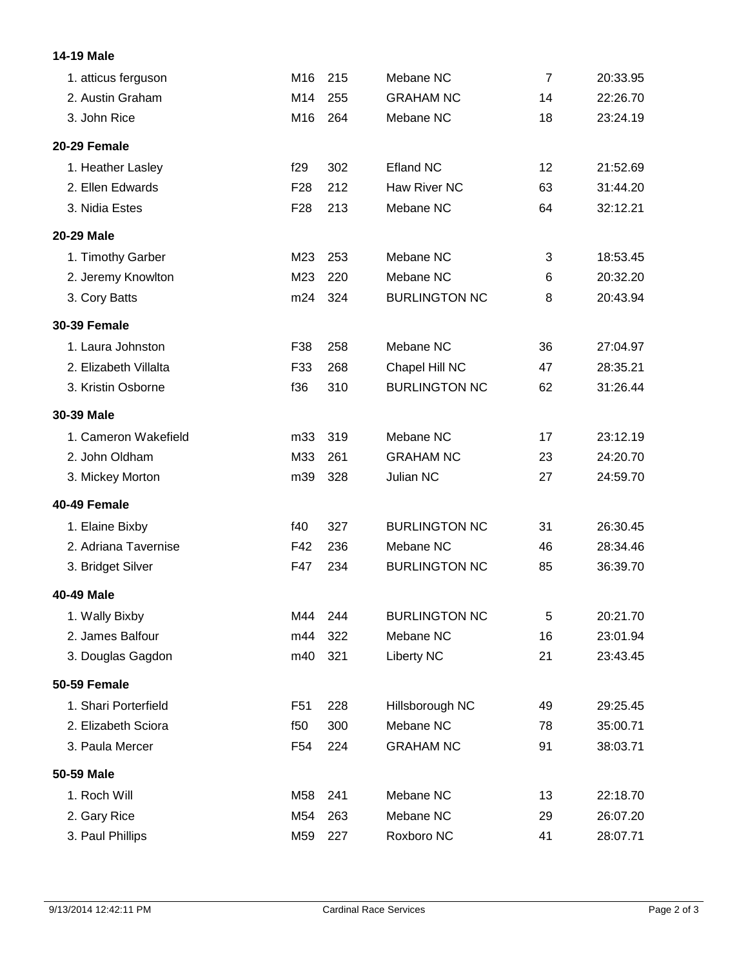## **14-19 Male**

| 1. atticus ferguson   | M16             | 215 | Mebane NC            | $\overline{7}$ | 20:33.95 |
|-----------------------|-----------------|-----|----------------------|----------------|----------|
| 2. Austin Graham      | M14             | 255 | <b>GRAHAM NC</b>     | 14             | 22:26.70 |
| 3. John Rice          | M16             | 264 | Mebane NC            | 18             | 23:24.19 |
| 20-29 Female          |                 |     |                      |                |          |
| 1. Heather Lasley     | f29             | 302 | <b>Efland NC</b>     | 12             | 21:52.69 |
| 2. Ellen Edwards      | F <sub>28</sub> | 212 | Haw River NC         | 63             | 31:44.20 |
| 3. Nidia Estes        | F <sub>28</sub> | 213 | Mebane NC            | 64             | 32:12.21 |
| 20-29 Male            |                 |     |                      |                |          |
| 1. Timothy Garber     | M23             | 253 | Mebane NC            | 3              | 18:53.45 |
| 2. Jeremy Knowlton    | M23             | 220 | Mebane NC            | 6              | 20:32.20 |
| 3. Cory Batts         | m24             | 324 | <b>BURLINGTON NC</b> | 8              | 20:43.94 |
| <b>30-39 Female</b>   |                 |     |                      |                |          |
| 1. Laura Johnston     | F38             | 258 | Mebane NC            | 36             | 27:04.97 |
| 2. Elizabeth Villalta | F33             | 268 | Chapel Hill NC       | 47             | 28:35.21 |
| 3. Kristin Osborne    | f36             | 310 | <b>BURLINGTON NC</b> | 62             | 31:26.44 |
| 30-39 Male            |                 |     |                      |                |          |
| 1. Cameron Wakefield  | m33             | 319 | Mebane NC            | 17             | 23:12.19 |
| 2. John Oldham        | M33             | 261 | <b>GRAHAM NC</b>     | 23             | 24:20.70 |
| 3. Mickey Morton      | m39             | 328 | Julian NC            | 27             | 24:59.70 |
| 40-49 Female          |                 |     |                      |                |          |
| 1. Elaine Bixby       | f40             | 327 | <b>BURLINGTON NC</b> | 31             | 26:30.45 |
| 2. Adriana Tavernise  | F42             | 236 | Mebane NC            | 46             | 28:34.46 |
| 3. Bridget Silver     | F47             | 234 | <b>BURLINGTON NC</b> | 85             | 36:39.70 |
| 40-49 Male            |                 |     |                      |                |          |
| 1. Wally Bixby        | M44             | 244 | <b>BURLINGTON NC</b> | 5              | 20:21.70 |
| 2. James Balfour      | m44             | 322 | Mebane NC            | 16             | 23:01.94 |
| 3. Douglas Gagdon     | m40             | 321 | <b>Liberty NC</b>    | 21             | 23:43.45 |
| <b>50-59 Female</b>   |                 |     |                      |                |          |
| 1. Shari Porterfield  | F <sub>51</sub> | 228 | Hillsborough NC      | 49             | 29:25.45 |
| 2. Elizabeth Sciora   | f50             | 300 | Mebane NC            | 78             | 35:00.71 |
| 3. Paula Mercer       | F54             | 224 | <b>GRAHAM NC</b>     | 91             | 38:03.71 |
| 50-59 Male            |                 |     |                      |                |          |
| 1. Roch Will          | M58             | 241 | Mebane NC            | 13             | 22:18.70 |
| 2. Gary Rice          | M54             | 263 | Mebane NC            | 29             | 26:07.20 |
| 3. Paul Phillips      | M59             | 227 | Roxboro NC           | 41             | 28:07.71 |